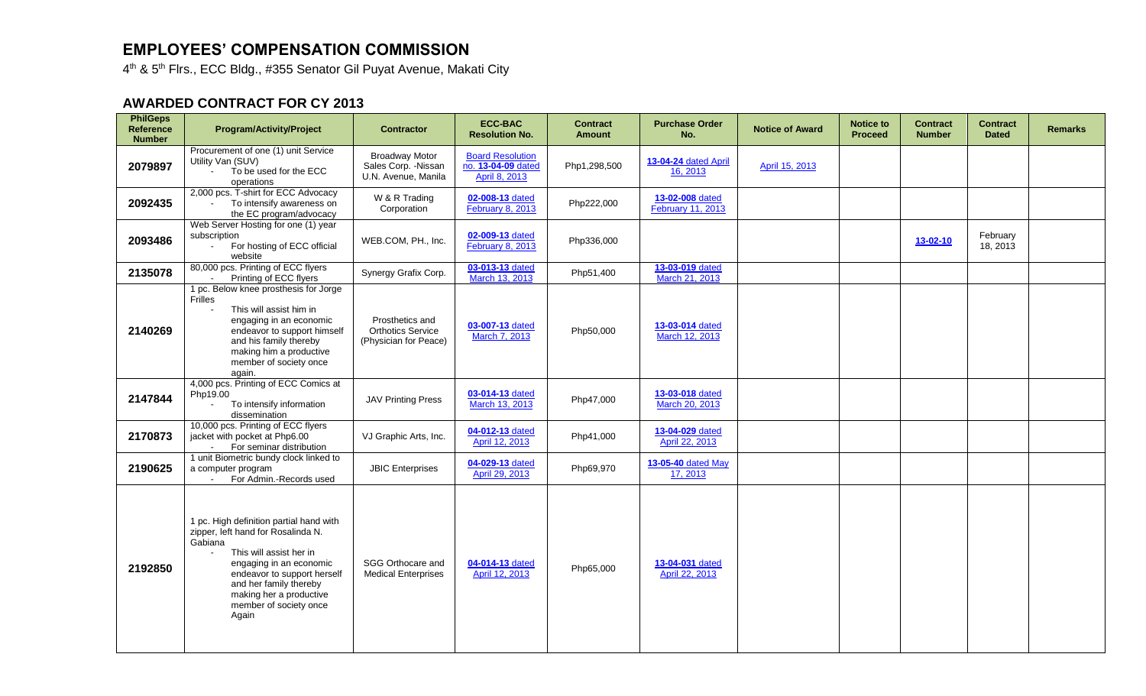## **EMPLOYEES' COMPENSATION COMMISSION**

4<sup>th</sup> & 5<sup>th</sup> Flrs., ECC Bldg., #355 Senator Gil Puyat Avenue, Makati City

## **AWARDED CONTRACT FOR CY 2013**

| <b>PhilGeps</b><br><b>Reference</b><br><b>Number</b> | <b>Program/Activity/Project</b>                                                                                                                                                                                                                                                         | <b>Contractor</b>                                                    | <b>ECC-BAC</b><br><b>Resolution No.</b>                        | <b>Contract</b><br><b>Amount</b> | <b>Purchase Order</b><br>No.         | <b>Notice of Award</b> | <b>Notice to</b><br><b>Proceed</b> | <b>Contract</b><br><b>Number</b> | <b>Contract</b><br><b>Dated</b> | <b>Remarks</b> |
|------------------------------------------------------|-----------------------------------------------------------------------------------------------------------------------------------------------------------------------------------------------------------------------------------------------------------------------------------------|----------------------------------------------------------------------|----------------------------------------------------------------|----------------------------------|--------------------------------------|------------------------|------------------------------------|----------------------------------|---------------------------------|----------------|
| 2079897                                              | Procurement of one (1) unit Service<br>Utility Van (SUV)<br>To be used for the ECC<br>operations                                                                                                                                                                                        | <b>Broadway Motor</b><br>Sales Corp. - Nissan<br>U.N. Avenue, Manila | <b>Board Resolution</b><br>no. 13-04-09 dated<br>April 8, 2013 | Php1,298,500                     | 13-04-24 dated April<br>16, 2013     | April 15, 2013         |                                    |                                  |                                 |                |
| 2092435                                              | 2,000 pcs. T-shirt for ECC Advocacy<br>To intensify awareness on<br>the EC program/advocacy                                                                                                                                                                                             | W & R Trading<br>Corporation                                         | 02-008-13 dated<br><b>February 8, 2013</b>                     | Php222,000                       | 13-02-008 dated<br>February 11, 2013 |                        |                                    |                                  |                                 |                |
| 2093486                                              | Web Server Hosting for one (1) year<br>subscription<br>For hosting of ECC official<br>website                                                                                                                                                                                           | WEB.COM, PH., Inc.                                                   | 02-009-13 dated<br>February 8, 2013                            | Php336,000                       |                                      |                        |                                    | $13 - 02 - 10$                   | February<br>18, 2013            |                |
| 2135078                                              | 80,000 pcs. Printing of ECC flyers<br>Printing of ECC flyers                                                                                                                                                                                                                            | Synergy Grafix Corp.                                                 | 03-013-13 dated<br>March 13, 2013                              | Php51,400                        | 13-03-019 dated<br>March 21, 2013    |                        |                                    |                                  |                                 |                |
| 2140269                                              | 1 pc. Below knee prosthesis for Jorge<br>Frilles<br>This will assist him in<br>engaging in an economic<br>endeavor to support himself<br>and his family thereby<br>making him a productive<br>member of society once<br>again.                                                          | Prosthetics and<br><b>Orthotics Service</b><br>(Physician for Peace) | 03-007-13 dated<br>March 7, 2013                               | Php50,000                        | 13-03-014 dated<br>March 12, 2013    |                        |                                    |                                  |                                 |                |
| 2147844                                              | 4,000 pcs. Printing of ECC Comics at<br>Php19.00<br>To intensify information<br>dissemination                                                                                                                                                                                           | <b>JAV Printing Press</b>                                            | 03-014-13 dated<br>March 13, 2013                              | Php47,000                        | 13-03-018 dated<br>March 20, 2013    |                        |                                    |                                  |                                 |                |
| 2170873                                              | 10,000 pcs. Printing of ECC flyers<br>jacket with pocket at Php6.00<br>For seminar distribution                                                                                                                                                                                         | VJ Graphic Arts, Inc.                                                | 04-012-13 dated<br>April 12, 2013                              | Php41,000                        | 13-04-029 dated<br>April 22, 2013    |                        |                                    |                                  |                                 |                |
| 2190625                                              | 1 unit Biometric bundy clock linked to<br>a computer program<br>For Admin.-Records used                                                                                                                                                                                                 | <b>JBIC Enterprises</b>                                              | 04-029-13 dated<br>April 29, 2013                              | Php69,970                        | 13-05-40 dated May<br>17, 2013       |                        |                                    |                                  |                                 |                |
| 2192850                                              | 1 pc. High definition partial hand with<br>zipper, left hand for Rosalinda N.<br>Gabiana<br>This will assist her in<br>$\blacksquare$<br>engaging in an economic<br>endeavor to support herself<br>and her family thereby<br>making her a productive<br>member of society once<br>Again | SGG Orthocare and<br><b>Medical Enterprises</b>                      | 04-014-13 dated<br>April 12, 2013                              | Php65,000                        | 13-04-031 dated<br>April 22, 2013    |                        |                                    |                                  |                                 |                |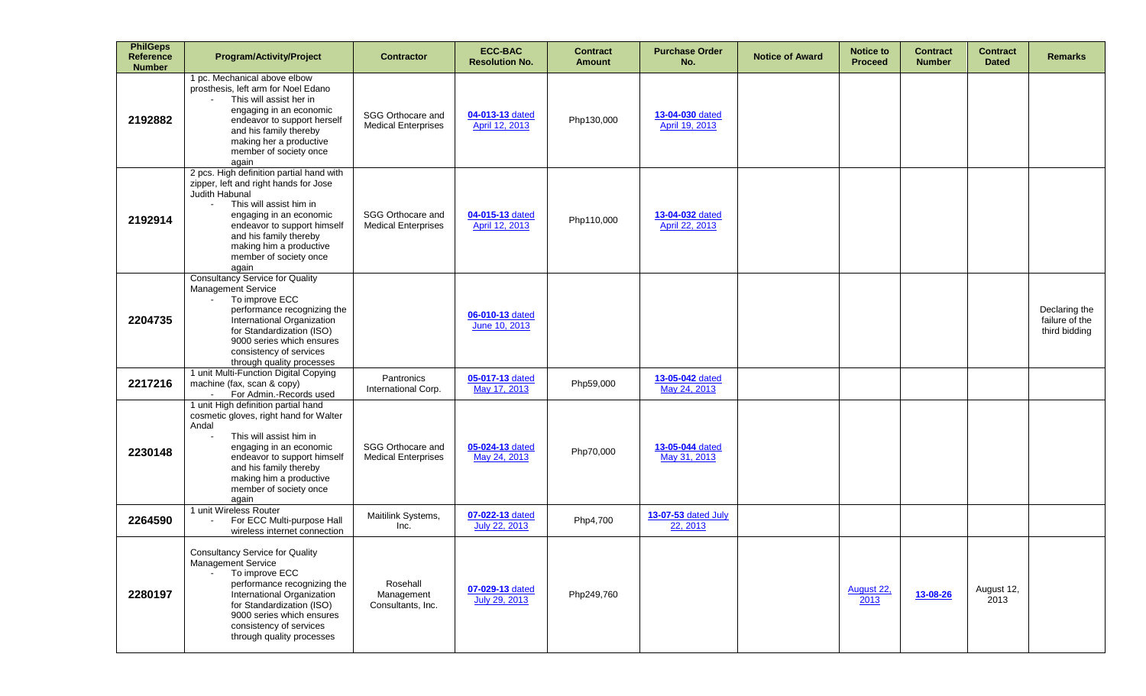| <b>PhilGeps</b><br>Reference<br><b>Number</b> | <b>Program/Activity/Project</b>                                                                                                                                                                                                                                                            | <b>Contractor</b>                               | <b>ECC-BAC</b><br><b>Resolution No.</b> | <b>Contract</b><br><b>Amount</b> | <b>Purchase Order</b><br>No.      | <b>Notice of Award</b> | <b>Notice to</b><br><b>Proceed</b> | <b>Contract</b><br><b>Number</b> | <b>Contract</b><br><b>Dated</b> | <b>Remarks</b>                                   |
|-----------------------------------------------|--------------------------------------------------------------------------------------------------------------------------------------------------------------------------------------------------------------------------------------------------------------------------------------------|-------------------------------------------------|-----------------------------------------|----------------------------------|-----------------------------------|------------------------|------------------------------------|----------------------------------|---------------------------------|--------------------------------------------------|
| 2192882                                       | 1 pc. Mechanical above elbow<br>prosthesis, left arm for Noel Edano<br>This will assist her in<br>engaging in an economic<br>endeavor to support herself<br>and his family thereby<br>making her a productive<br>member of society once<br>again                                           | SGG Orthocare and<br><b>Medical Enterprises</b> | 04-013-13 dated<br>April 12, 2013       | Php130,000                       | 13-04-030 dated<br>April 19, 2013 |                        |                                    |                                  |                                 |                                                  |
| 2192914                                       | 2 pcs. High definition partial hand with<br>zipper, left and right hands for Jose<br>Judith Habunal<br>This will assist him in<br>$\sim$<br>engaging in an economic<br>endeavor to support himself<br>and his family thereby<br>making him a productive<br>member of society once<br>again | SGG Orthocare and<br><b>Medical Enterprises</b> | 04-015-13 dated<br>April 12, 2013       | Php110,000                       | 13-04-032 dated<br>April 22, 2013 |                        |                                    |                                  |                                 |                                                  |
| 2204735                                       | <b>Consultancy Service for Quality</b><br>Management Service<br>To improve ECC<br>$\sim$<br>performance recognizing the<br>International Organization<br>for Standardization (ISO)<br>9000 series which ensures<br>consistency of services<br>through quality processes                    |                                                 | 06-010-13 dated<br>June 10, 2013        |                                  |                                   |                        |                                    |                                  |                                 | Declaring the<br>failure of the<br>third bidding |
| 2217216                                       | 1 unit Multi-Function Digital Copying<br>machine (fax, scan & copy)<br>For Admin.-Records used                                                                                                                                                                                             | Pantronics<br>International Corp.               | 05-017-13 dated<br>May 17, 2013         | Php59,000                        | 13-05-042 dated<br>May 24, 2013   |                        |                                    |                                  |                                 |                                                  |
| 2230148                                       | 1 unit High definition partial hand<br>cosmetic gloves, right hand for Walter<br>Andal<br>This will assist him in<br>$\blacksquare$<br>engaging in an economic<br>endeavor to support himself<br>and his family thereby<br>making him a productive<br>member of society once<br>again      | SGG Orthocare and<br><b>Medical Enterprises</b> | 05-024-13 dated<br>May 24, 2013         | Php70,000                        | 13-05-044 dated<br>May 31, 2013   |                        |                                    |                                  |                                 |                                                  |
| 2264590                                       | 1 unit Wireless Router<br>For ECC Multi-purpose Hall<br>$\blacksquare$<br>wireless internet connection                                                                                                                                                                                     | Maitilink Systems,<br>Inc.                      | 07-022-13 dated<br>July 22, 2013        | Php4,700                         | 13-07-53 dated July<br>22, 2013   |                        |                                    |                                  |                                 |                                                  |
| 2280197                                       | <b>Consultancy Service for Quality</b><br>Management Service<br>To improve ECC<br>$\Delta \sim 100$<br>performance recognizing the<br>International Organization<br>for Standardization (ISO)<br>9000 series which ensures<br>consistency of services<br>through quality processes         | Rosehall<br>Management<br>Consultants, Inc.     | 07-029-13 dated<br>July 29, 2013        | Php249,760                       |                                   |                        | August 22,<br>2013                 | 13-08-26                         | August 12,<br>2013              |                                                  |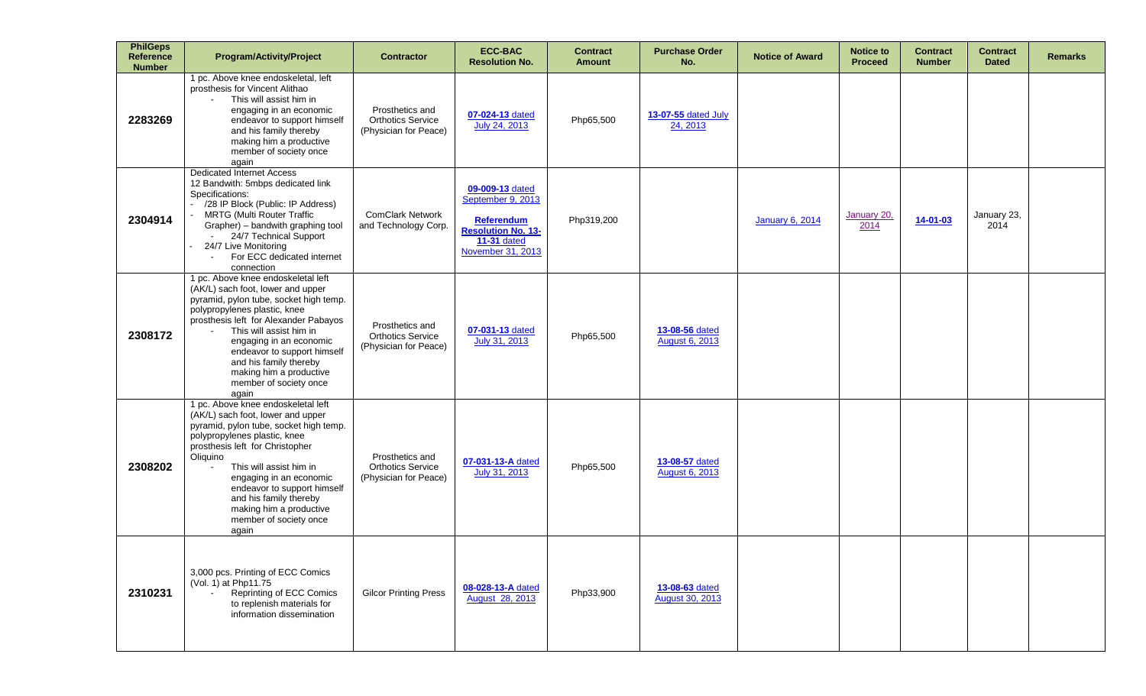| <b>PhilGeps</b><br><b>Reference</b><br><b>Number</b> | <b>Program/Activity/Project</b>                                                                                                                                                                                                                                                                                                                                               | <b>Contractor</b>                                                    | <b>ECC-BAC</b><br><b>Resolution No.</b>                                                                                           | <b>Contract</b><br><b>Amount</b> | <b>Purchase Order</b><br>No.             | <b>Notice of Award</b> | <b>Notice to</b><br><b>Proceed</b> | <b>Contract</b><br><b>Number</b> | <b>Contract</b><br><b>Dated</b> | <b>Remarks</b> |
|------------------------------------------------------|-------------------------------------------------------------------------------------------------------------------------------------------------------------------------------------------------------------------------------------------------------------------------------------------------------------------------------------------------------------------------------|----------------------------------------------------------------------|-----------------------------------------------------------------------------------------------------------------------------------|----------------------------------|------------------------------------------|------------------------|------------------------------------|----------------------------------|---------------------------------|----------------|
| 2283269                                              | 1 pc. Above knee endoskeletal, left<br>prosthesis for Vincent Alithao<br>This will assist him in<br>engaging in an economic<br>endeavor to support himself<br>and his family thereby<br>making him a productive<br>member of society once<br>again                                                                                                                            | Prosthetics and<br><b>Orthotics Service</b><br>(Physician for Peace) | 07-024-13 dated<br>July 24, 2013                                                                                                  | Php65,500                        | 13-07-55 dated July<br>24, 2013          |                        |                                    |                                  |                                 |                |
| 2304914                                              | <b>Dedicated Internet Access</b><br>12 Bandwith: 5mbps dedicated link<br>Specifications:<br>- /28 IP Block (Public: IP Address)<br><b>MRTG (Multi Router Traffic</b><br>Grapher) - bandwith graphing tool<br>24/7 Technical Support<br>24/7 Live Monitoring<br>For ECC dedicated internet<br>connection                                                                       | <b>ComClark Network</b><br>and Technology Corp.                      | 09-009-13 dated<br>September 9, 2013<br><b>Referendum</b><br><b>Resolution No. 13-</b><br><b>11-31 dated</b><br>November 31, 2013 | Php319,200                       |                                          | <b>January 6, 2014</b> | January 20,<br>2014                | 14-01-03                         | January 23,<br>2014             |                |
| 2308172                                              | 1 pc. Above knee endoskeletal left<br>(AK/L) sach foot, lower and upper<br>pyramid, pylon tube, socket high temp.<br>polypropylenes plastic, knee<br>prosthesis left for Alexander Pabayos<br>This will assist him in<br>engaging in an economic<br>endeavor to support himself<br>and his family thereby<br>making him a productive<br>member of society once<br>again       | Prosthetics and<br><b>Orthotics Service</b><br>(Physician for Peace) | 07-031-13 dated<br>July 31, 2013                                                                                                  | Php65,500                        | 13-08-56 dated<br>August 6, 2013         |                        |                                    |                                  |                                 |                |
| 2308202                                              | 1 pc. Above knee endoskeletal left<br>(AK/L) sach foot, lower and upper<br>pyramid, pylon tube, socket high temp.<br>polypropylenes plastic, knee<br>prosthesis left for Christopher<br>Oliquino<br>This will assist him in<br>engaging in an economic<br>endeavor to support himself<br>and his family thereby<br>making him a productive<br>member of society once<br>again | Prosthetics and<br><b>Orthotics Service</b><br>(Physician for Peace) | 07-031-13-A dated<br>July 31, 2013                                                                                                | Php65,500                        | 13-08-57 dated<br><b>August 6, 2013</b>  |                        |                                    |                                  |                                 |                |
| 2310231                                              | 3,000 pcs. Printing of ECC Comics<br>(Vol. 1) at Php11.75<br>Reprinting of ECC Comics<br>to replenish materials for<br>information dissemination                                                                                                                                                                                                                              | <b>Gilcor Printing Press</b>                                         | 08-028-13-A dated<br><b>August 28, 2013</b>                                                                                       | Php33,900                        | 13-08-63 dated<br><b>August 30, 2013</b> |                        |                                    |                                  |                                 |                |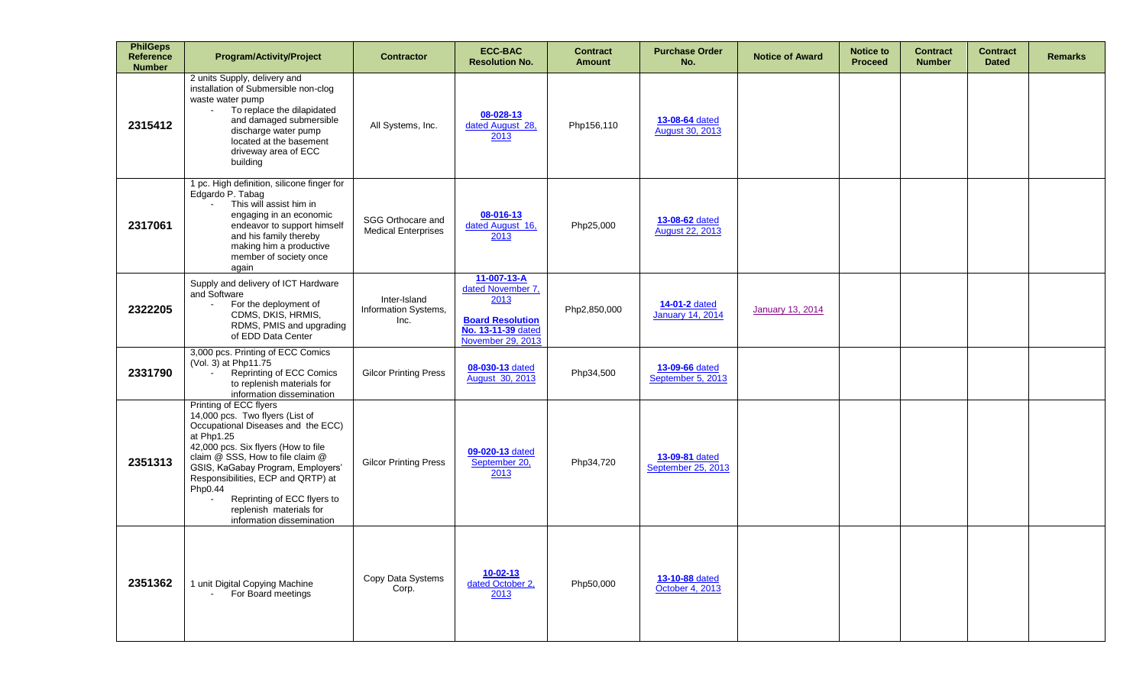| <b>PhilGeps</b><br><b>Reference</b><br><b>Number</b> | <b>Program/Activity/Project</b>                                                                                                                                                                                                                                                                                                                                       | <b>Contractor</b>                               | <b>ECC-BAC</b><br><b>Resolution No.</b>                                                                        | <b>Contract</b><br><b>Amount</b> | <b>Purchase Order</b><br>No.             | <b>Notice of Award</b>  | <b>Notice to</b><br><b>Proceed</b> | <b>Contract</b><br><b>Number</b> | <b>Contract</b><br><b>Dated</b> | <b>Remarks</b> |
|------------------------------------------------------|-----------------------------------------------------------------------------------------------------------------------------------------------------------------------------------------------------------------------------------------------------------------------------------------------------------------------------------------------------------------------|-------------------------------------------------|----------------------------------------------------------------------------------------------------------------|----------------------------------|------------------------------------------|-------------------------|------------------------------------|----------------------------------|---------------------------------|----------------|
| 2315412                                              | 2 units Supply, delivery and<br>installation of Submersible non-clog<br>waste water pump<br>To replace the dilapidated<br>$\sim$<br>and damaged submersible<br>discharge water pump<br>located at the basement<br>driveway area of ECC<br>building                                                                                                                    | All Systems, Inc.                               | 08-028-13<br>dated August 28,<br>2013                                                                          | Php156,110                       | 13-08-64 dated<br><b>August 30, 2013</b> |                         |                                    |                                  |                                 |                |
| 2317061                                              | 1 pc. High definition, silicone finger for<br>Edgardo P. Tabag<br>This will assist him in<br>engaging in an economic<br>endeavor to support himself<br>and his family thereby<br>making him a productive<br>member of society once<br>again                                                                                                                           | SGG Orthocare and<br><b>Medical Enterprises</b> | 08-016-13<br>dated August 16,<br>2013                                                                          | Php25,000                        | 13-08-62 dated<br><b>August 22, 2013</b> |                         |                                    |                                  |                                 |                |
| 2322205                                              | Supply and delivery of ICT Hardware<br>and Software<br>For the deployment of<br>$\blacksquare$<br>CDMS, DKIS, HRMIS,<br>RDMS, PMIS and upgrading<br>of EDD Data Center                                                                                                                                                                                                | Inter-Island<br>Information Systems,<br>Inc.    | 11-007-13-A<br>dated November 7,<br>2013<br><b>Board Resolution</b><br>No. 13-11-39 dated<br>November 29, 2013 | Php2,850,000                     | 14-01-2 dated<br><b>January 14, 2014</b> | <b>January 13, 2014</b> |                                    |                                  |                                 |                |
| 2331790                                              | 3,000 pcs. Printing of ECC Comics<br>(Vol. 3) at Php11.75<br><b>Reprinting of ECC Comics</b><br>to replenish materials for<br>information dissemination                                                                                                                                                                                                               | <b>Gilcor Printing Press</b>                    | 08-030-13 dated<br><b>August 30, 2013</b>                                                                      | Php34,500                        | 13-09-66 dated<br>September 5, 2013      |                         |                                    |                                  |                                 |                |
| 2351313                                              | Printing of ECC flyers<br>14,000 pcs. Two flyers (List of<br>Occupational Diseases and the ECC)<br>at Php1.25<br>42,000 pcs. Six flyers (How to file<br>claim @ SSS, How to file claim @<br>GSIS, KaGabay Program, Employers'<br>Responsibilities, ECP and QRTP) at<br>Php0.44<br>Reprinting of ECC flyers to<br>replenish materials for<br>information dissemination | <b>Gilcor Printing Press</b>                    | 09-020-13 dated<br>September 20,<br>2013                                                                       | Php34,720                        | 13-09-81 dated<br>September 25, 2013     |                         |                                    |                                  |                                 |                |
| 2351362                                              | 1 unit Digital Copying Machine<br>For Board meetings<br>$\blacksquare$                                                                                                                                                                                                                                                                                                | Copy Data Systems<br>Corp.                      | $10 - 02 - 13$<br>dated October 2.<br>2013                                                                     | Php50,000                        | 13-10-88 dated<br>October 4, 2013        |                         |                                    |                                  |                                 |                |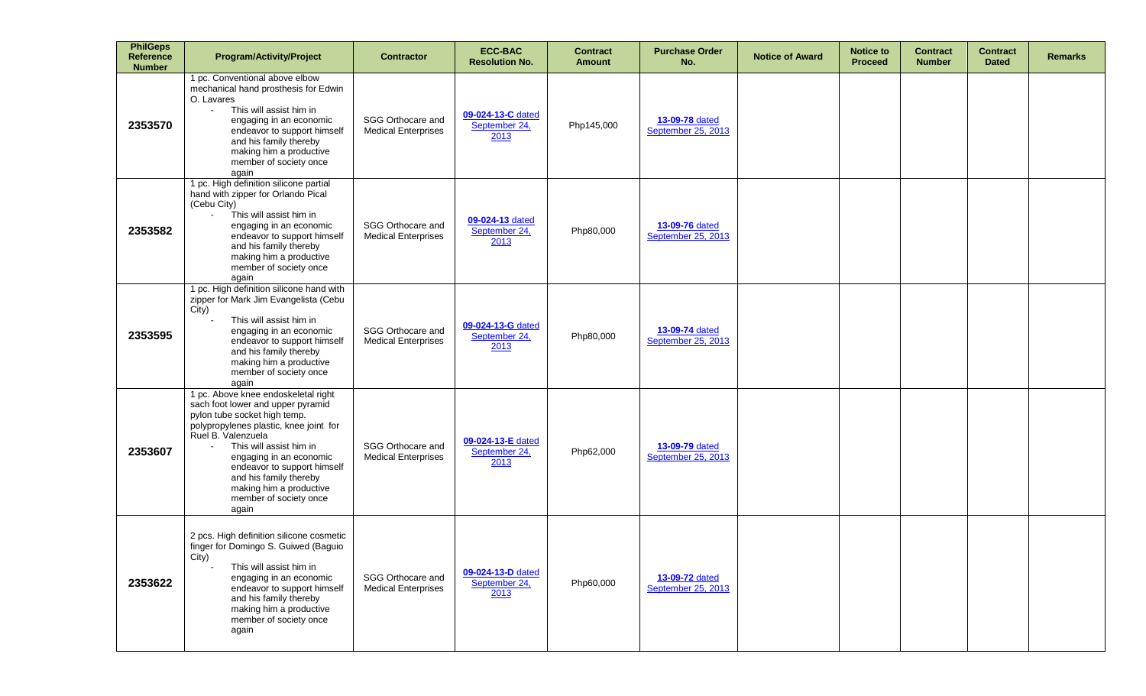| <b>PhilGeps</b><br><b>Reference</b><br><b>Number</b> | <b>Program/Activity/Project</b>                                                                                                                                                                                                                                                                                                                       | <b>Contractor</b>                               | <b>ECC-BAC</b><br><b>Resolution No.</b>    | <b>Contract</b><br><b>Amount</b> | <b>Purchase Order</b><br>No.         | <b>Notice of Award</b> | <b>Notice to</b><br><b>Proceed</b> | <b>Contract</b><br><b>Number</b> | <b>Contract</b><br><b>Dated</b> | <b>Remarks</b> |
|------------------------------------------------------|-------------------------------------------------------------------------------------------------------------------------------------------------------------------------------------------------------------------------------------------------------------------------------------------------------------------------------------------------------|-------------------------------------------------|--------------------------------------------|----------------------------------|--------------------------------------|------------------------|------------------------------------|----------------------------------|---------------------------------|----------------|
| 2353570                                              | 1 pc. Conventional above elbow<br>mechanical hand prosthesis for Edwin<br>O. Lavares<br>This will assist him in<br>$\mathbf{r}$<br>engaging in an economic<br>endeavor to support himself<br>and his family thereby<br>making him a productive<br>member of society once<br>again                                                                     | SGG Orthocare and<br><b>Medical Enterprises</b> | 09-024-13-C dated<br>September 24,<br>2013 | Php145,000                       | 13-09-78 dated<br>September 25, 2013 |                        |                                    |                                  |                                 |                |
| 2353582                                              | 1 pc. High definition silicone partial<br>hand with zipper for Orlando Pical<br>(Cebu City)<br>This will assist him in<br>$\mathbf{r}$<br>engaging in an economic<br>endeavor to support himself<br>and his family thereby<br>making him a productive<br>member of society once<br>again                                                              | SGG Orthocare and<br><b>Medical Enterprises</b> | 09-024-13 dated<br>September 24,<br>2013   | Php80,000                        | 13-09-76 dated<br>September 25, 2013 |                        |                                    |                                  |                                 |                |
| 2353595                                              | 1 pc. High definition silicone hand with<br>zipper for Mark Jim Evangelista (Cebu<br>City)<br>This will assist him in<br>engaging in an economic<br>endeavor to support himself<br>and his family thereby<br>making him a productive<br>member of society once<br>again                                                                               | SGG Orthocare and<br><b>Medical Enterprises</b> | 09-024-13-G dated<br>September 24,<br>2013 | Php80,000                        | 13-09-74 dated<br>September 25, 2013 |                        |                                    |                                  |                                 |                |
| 2353607                                              | 1 pc. Above knee endoskeletal right<br>sach foot lower and upper pyramid<br>pylon tube socket high temp.<br>polypropylenes plastic, knee joint for<br>Ruel B. Valenzuela<br>This will assist him in<br>engaging in an economic<br>endeavor to support himself<br>and his family thereby<br>making him a productive<br>member of society once<br>again | SGG Orthocare and<br><b>Medical Enterprises</b> | 09-024-13-E dated<br>September 24,<br>2013 | Php62,000                        | 13-09-79 dated<br>September 25, 2013 |                        |                                    |                                  |                                 |                |
| 2353622                                              | 2 pcs. High definition silicone cosmetic<br>finger for Domingo S. Guiwed (Baguio<br>City)<br>This will assist him in<br>engaging in an economic<br>endeavor to support himself<br>and his family thereby<br>making him a productive<br>member of society once<br>again                                                                                | SGG Orthocare and<br><b>Medical Enterprises</b> | 09-024-13-D dated<br>September 24,<br>2013 | Php60,000                        | 13-09-72 dated<br>September 25, 2013 |                        |                                    |                                  |                                 |                |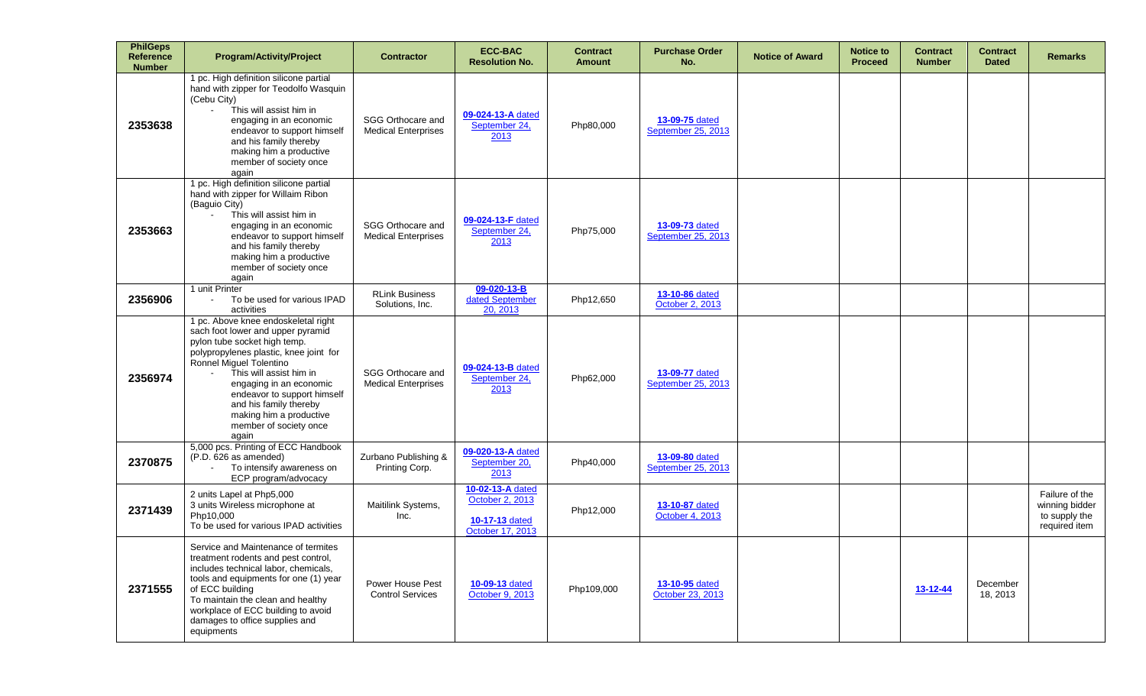| <b>PhilGeps</b><br><b>Reference</b><br><b>Number</b> | <b>Program/Activity/Project</b>                                                                                                                                                                                                                                                                                                                            | <b>Contractor</b>                               | <b>ECC-BAC</b><br><b>Resolution No.</b>                                          | <b>Contract</b><br><b>Amount</b> | <b>Purchase Order</b><br>No.         | <b>Notice of Award</b> | <b>Notice to</b><br><b>Proceed</b> | <b>Contract</b><br><b>Number</b> | <b>Contract</b><br><b>Dated</b> | <b>Remarks</b>                                                     |
|------------------------------------------------------|------------------------------------------------------------------------------------------------------------------------------------------------------------------------------------------------------------------------------------------------------------------------------------------------------------------------------------------------------------|-------------------------------------------------|----------------------------------------------------------------------------------|----------------------------------|--------------------------------------|------------------------|------------------------------------|----------------------------------|---------------------------------|--------------------------------------------------------------------|
| 2353638                                              | 1 pc. High definition silicone partial<br>hand with zipper for Teodolfo Wasquin<br>(Cebu City)<br>This will assist him in<br>$\mathbf{r}$<br>engaging in an economic<br>endeavor to support himself<br>and his family thereby<br>making him a productive<br>member of society once<br>again                                                                | SGG Orthocare and<br><b>Medical Enterprises</b> | 09-024-13-A dated<br>September 24,<br>2013                                       | Php80,000                        | 13-09-75 dated<br>September 25, 2013 |                        |                                    |                                  |                                 |                                                                    |
| 2353663                                              | 1 pc. High definition silicone partial<br>hand with zipper for Willaim Ribon<br>(Baguio City)<br>This will assist him in<br>engaging in an economic<br>endeavor to support himself<br>and his family thereby<br>making him a productive<br>member of society once<br>again                                                                                 | SGG Orthocare and<br><b>Medical Enterprises</b> | 09-024-13-F dated<br>September 24,<br>2013                                       | Php75,000                        | 13-09-73 dated<br>September 25, 2013 |                        |                                    |                                  |                                 |                                                                    |
| 2356906                                              | 1 unit Printer<br>To be used for various IPAD<br>activities                                                                                                                                                                                                                                                                                                | <b>RLink Business</b><br>Solutions, Inc.        | 09-020-13-B<br>dated September<br>20, 2013                                       | Php12,650                        | 13-10-86 dated<br>October 2, 2013    |                        |                                    |                                  |                                 |                                                                    |
| 2356974                                              | 1 pc. Above knee endoskeletal right<br>sach foot lower and upper pyramid<br>pylon tube socket high temp.<br>polypropylenes plastic, knee joint for<br>Ronnel Miguel Tolentino<br>This will assist him in<br>engaging in an economic<br>endeavor to support himself<br>and his family thereby<br>making him a productive<br>member of society once<br>again | SGG Orthocare and<br><b>Medical Enterprises</b> | 09-024-13-B dated<br>September 24,<br>2013                                       | Php62,000                        | 13-09-77 dated<br>September 25, 2013 |                        |                                    |                                  |                                 |                                                                    |
| 2370875                                              | 5,000 pcs. Printing of ECC Handbook<br>(P.D. 626 as amended)<br>To intensify awareness on<br>ECP program/advocacy                                                                                                                                                                                                                                          | Zurbano Publishing &<br>Printing Corp.          | 09-020-13-A dated<br>September 20,<br>2013                                       | Php40,000                        | 13-09-80 dated<br>September 25, 2013 |                        |                                    |                                  |                                 |                                                                    |
| 2371439                                              | 2 units Lapel at Php5,000<br>3 units Wireless microphone at<br>Php10,000<br>To be used for various IPAD activities                                                                                                                                                                                                                                         | Maitilink Systems,<br>Inc.                      | 10-02-13-A dated<br>October 2, 2013<br><b>10-17-13 dated</b><br>October 17, 2013 | Php12,000                        | 13-10-87 dated<br>October 4, 2013    |                        |                                    |                                  |                                 | Failure of the<br>winning bidder<br>to supply the<br>required item |
| 2371555                                              | Service and Maintenance of termites<br>treatment rodents and pest control,<br>includes technical labor, chemicals,<br>tools and equipments for one (1) year<br>of ECC building<br>To maintain the clean and healthy<br>workplace of ECC building to avoid<br>damages to office supplies and<br>equipments                                                  | Power House Pest<br><b>Control Services</b>     | 10-09-13 dated<br>October 9, 2013                                                | Php109,000                       | 13-10-95 dated<br>October 23, 2013   |                        |                                    | 13-12-44                         | December<br>18, 2013            |                                                                    |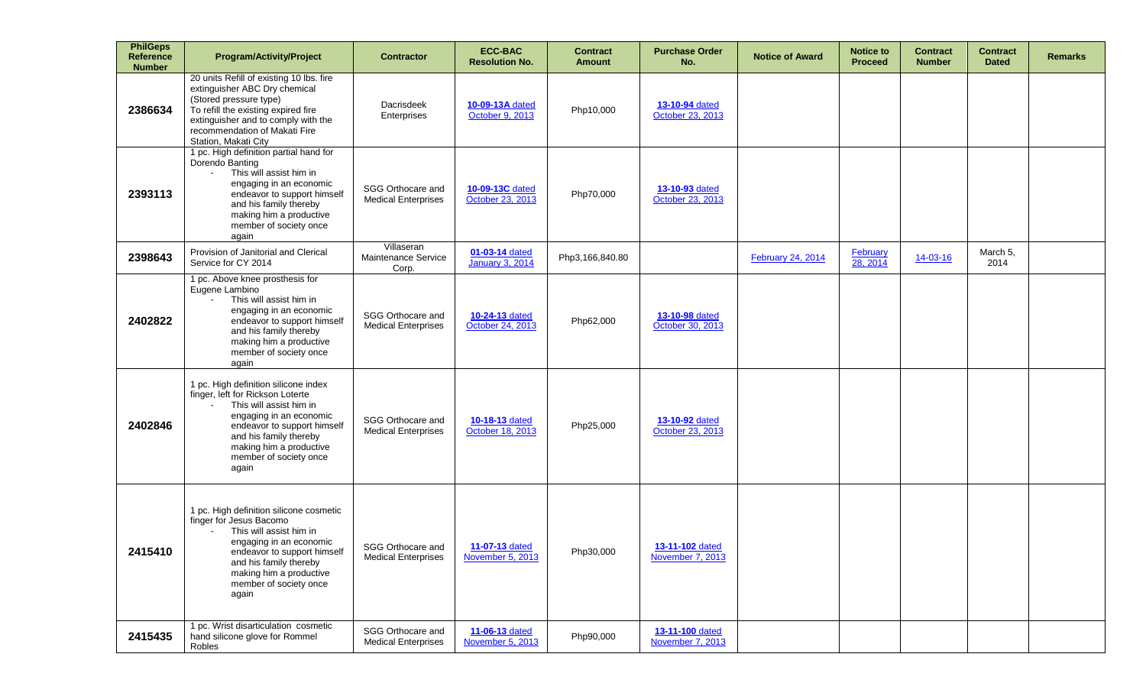| <b>PhilGeps</b><br><b>Reference</b><br><b>Number</b> | <b>Program/Activity/Project</b>                                                                                                                                                                                                                       | <b>Contractor</b>                                      | <b>ECC-BAC</b><br><b>Resolution No.</b>   | <b>Contract</b><br><b>Amount</b> | <b>Purchase Order</b><br>No.        | <b>Notice of Award</b>   | <b>Notice to</b><br><b>Proceed</b> | <b>Contract</b><br><b>Number</b> | <b>Contract</b><br><b>Dated</b> | <b>Remarks</b> |
|------------------------------------------------------|-------------------------------------------------------------------------------------------------------------------------------------------------------------------------------------------------------------------------------------------------------|--------------------------------------------------------|-------------------------------------------|----------------------------------|-------------------------------------|--------------------------|------------------------------------|----------------------------------|---------------------------------|----------------|
| 2386634                                              | 20 units Refill of existing 10 lbs. fire<br>extinguisher ABC Dry chemical<br>(Stored pressure type)<br>To refill the existing expired fire<br>extinguisher and to comply with the<br>recommendation of Makati Fire<br>Station, Makati City            | Dacrisdeek<br>Enterprises                              | 10-09-13A dated<br>October 9, 2013        | Php10,000                        | 13-10-94 dated<br>October 23, 2013  |                          |                                    |                                  |                                 |                |
| 2393113                                              | 1 pc. High definition partial hand for<br>Dorendo Banting<br>This will assist him in<br>$\sim$<br>engaging in an economic<br>endeavor to support himself<br>and his family thereby<br>making him a productive<br>member of society once<br>again      | SGG Orthocare and<br><b>Medical Enterprises</b>        | 10-09-13C dated<br>October 23, 2013       | Php70,000                        | 13-10-93 dated<br>October 23, 2013  |                          |                                    |                                  |                                 |                |
| 2398643                                              | Provision of Janitorial and Clerical<br>Service for CY 2014                                                                                                                                                                                           | Villaseran<br>Maintenance Service<br>Corp.             | 01-03-14 dated<br><b>January 3, 2014</b>  | Php3,166,840.80                  |                                     | <b>February 24, 2014</b> | <b>February</b><br>28, 2014        | 14-03-16                         | March 5,<br>2014                |                |
| 2402822                                              | 1 pc. Above knee prosthesis for<br>Eugene Lambino<br>This will assist him in<br>$\sim$<br>engaging in an economic<br>endeavor to support himself<br>and his family thereby<br>making him a productive<br>member of society once<br>again              | SGG Orthocare and<br><b>Medical Enterprises</b>        | 10-24-13 dated<br>October 24, 2013        | Php62,000                        | 13-10-98 dated<br>October 30, 2013  |                          |                                    |                                  |                                 |                |
| 2402846                                              | 1 pc. High definition silicone index<br>finger, left for Rickson Loterte<br>This will assist him in<br>engaging in an economic<br>endeavor to support himself<br>and his family thereby<br>making him a productive<br>member of society once<br>again | <b>SGG Orthocare and</b><br><b>Medical Enterprises</b> | <b>10-18-13 dated</b><br>October 18, 2013 | Php25,000                        | 13-10-92 dated<br>October 23, 2013  |                          |                                    |                                  |                                 |                |
| 2415410                                              | 1 pc. High definition silicone cosmetic<br>finger for Jesus Bacomo<br>This will assist him in<br>engaging in an economic<br>endeavor to support himself<br>and his family thereby<br>making him a productive<br>member of society once<br>again       | SGG Orthocare and<br><b>Medical Enterprises</b>        | 11-07-13 dated<br>November 5, 2013        | Php30,000                        | 13-11-102 dated<br>November 7, 2013 |                          |                                    |                                  |                                 |                |
| 2415435                                              | 1 pc. Wrist disarticulation cosmetic<br>hand silicone glove for Rommel<br>Robles                                                                                                                                                                      | SGG Orthocare and<br><b>Medical Enterprises</b>        | 11-06-13 dated<br>November 5, 2013        | Php90,000                        | 13-11-100 dated<br>November 7, 2013 |                          |                                    |                                  |                                 |                |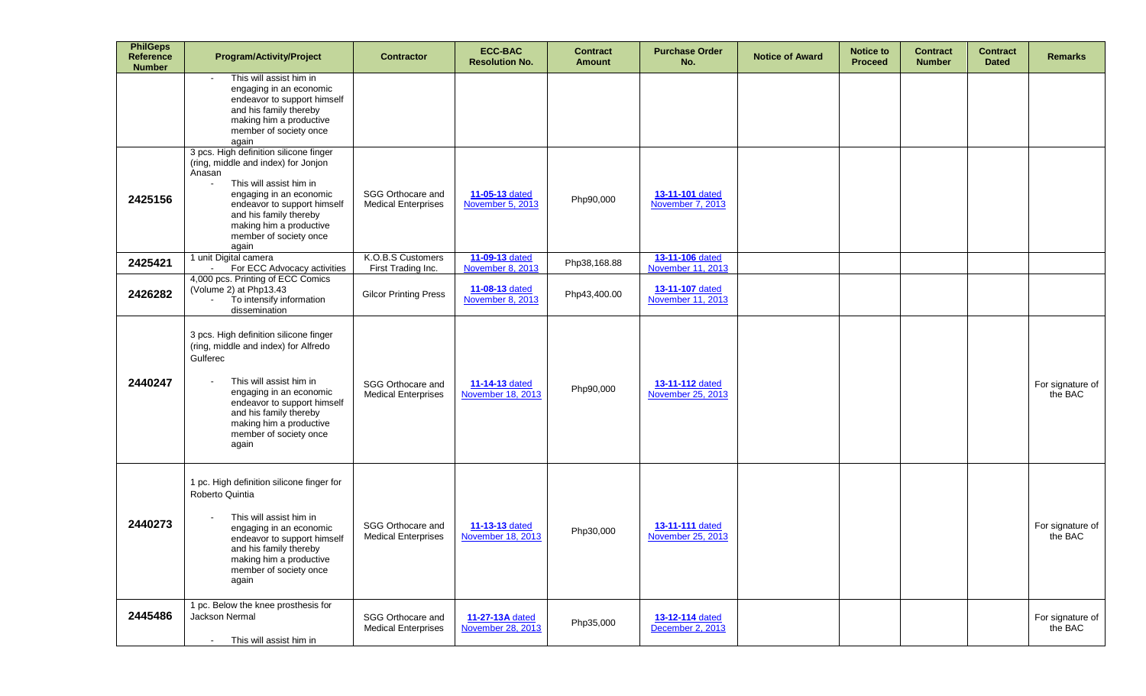| <b>PhilGeps</b><br>Reference<br><b>Number</b> | <b>Program/Activity/Project</b>                                                                                                                                                                                                                                                        | <b>Contractor</b>                               | <b>ECC-BAC</b><br><b>Resolution No.</b> | <b>Contract</b><br><b>Amount</b> | <b>Purchase Order</b><br>No.                | <b>Notice of Award</b> | <b>Notice to</b><br><b>Proceed</b> | <b>Contract</b><br><b>Number</b> | <b>Contract</b><br><b>Dated</b> | <b>Remarks</b>              |
|-----------------------------------------------|----------------------------------------------------------------------------------------------------------------------------------------------------------------------------------------------------------------------------------------------------------------------------------------|-------------------------------------------------|-----------------------------------------|----------------------------------|---------------------------------------------|------------------------|------------------------------------|----------------------------------|---------------------------------|-----------------------------|
|                                               | This will assist him in<br>engaging in an economic<br>endeavor to support himself<br>and his family thereby<br>making him a productive<br>member of society once<br>again                                                                                                              |                                                 |                                         |                                  |                                             |                        |                                    |                                  |                                 |                             |
| 2425156                                       | 3 pcs. High definition silicone finger<br>(ring, middle and index) for Jonjon<br>Anasan<br>This will assist him in<br>$\blacksquare$<br>engaging in an economic<br>endeavor to support himself<br>and his family thereby<br>making him a productive<br>member of society once<br>again | SGG Orthocare and<br><b>Medical Enterprises</b> | 11-05-13 dated<br>November 5, 2013      | Php90,000                        | 13-11-101 dated<br>November 7, 2013         |                        |                                    |                                  |                                 |                             |
| 2425421                                       | 1 unit Digital camera<br>For ECC Advocacy activities<br>$\sim$                                                                                                                                                                                                                         | K.O.B.S Customers<br>First Trading Inc.         | 11-09-13 dated<br>November 8, 2013      | Php38,168.88                     | 13-11-106 dated<br>November 11, 2013        |                        |                                    |                                  |                                 |                             |
| 2426282                                       | 4,000 pcs. Printing of ECC Comics<br>(Volume 2) at Php13.43<br>To intensify information<br>$\blacksquare$<br>dissemination                                                                                                                                                             | <b>Gilcor Printing Press</b>                    | 11-08-13 dated<br>November 8, 2013      | Php43,400.00                     | 13-11-107 dated<br>November 11, 2013        |                        |                                    |                                  |                                 |                             |
| 2440247                                       | 3 pcs. High definition silicone finger<br>(ring, middle and index) for Alfredo<br>Gulferec<br>This will assist him in<br>engaging in an economic<br>endeavor to support himself<br>and his family thereby<br>making him a productive<br>member of society once<br>again                | SGG Orthocare and<br><b>Medical Enterprises</b> | 11-14-13 dated<br>November 18, 2013     | Php90,000                        | 13-11-112 dated<br>November 25, 2013        |                        |                                    |                                  |                                 | For signature of<br>the BAC |
| 2440273                                       | 1 pc. High definition silicone finger for<br>Roberto Quintia<br>This will assist him in<br>engaging in an economic<br>endeavor to support himself<br>and his family thereby<br>making him a productive<br>member of society once<br>again                                              | SGG Orthocare and<br><b>Medical Enterprises</b> | 11-13-13 dated<br>November 18, 2013     | Php30,000                        | <b>13-11-111 dated</b><br>November 25, 2013 |                        |                                    |                                  |                                 | For signature of<br>the BAC |
| 2445486                                       | 1 pc. Below the knee prosthesis for<br>Jackson Nermal<br>This will assist him in<br>$\blacksquare$                                                                                                                                                                                     | SGG Orthocare and<br><b>Medical Enterprises</b> | 11-27-13A dated<br>November 28, 2013    | Php35,000                        | 13-12-114 dated<br>December 2, 2013         |                        |                                    |                                  |                                 | For signature of<br>the BAC |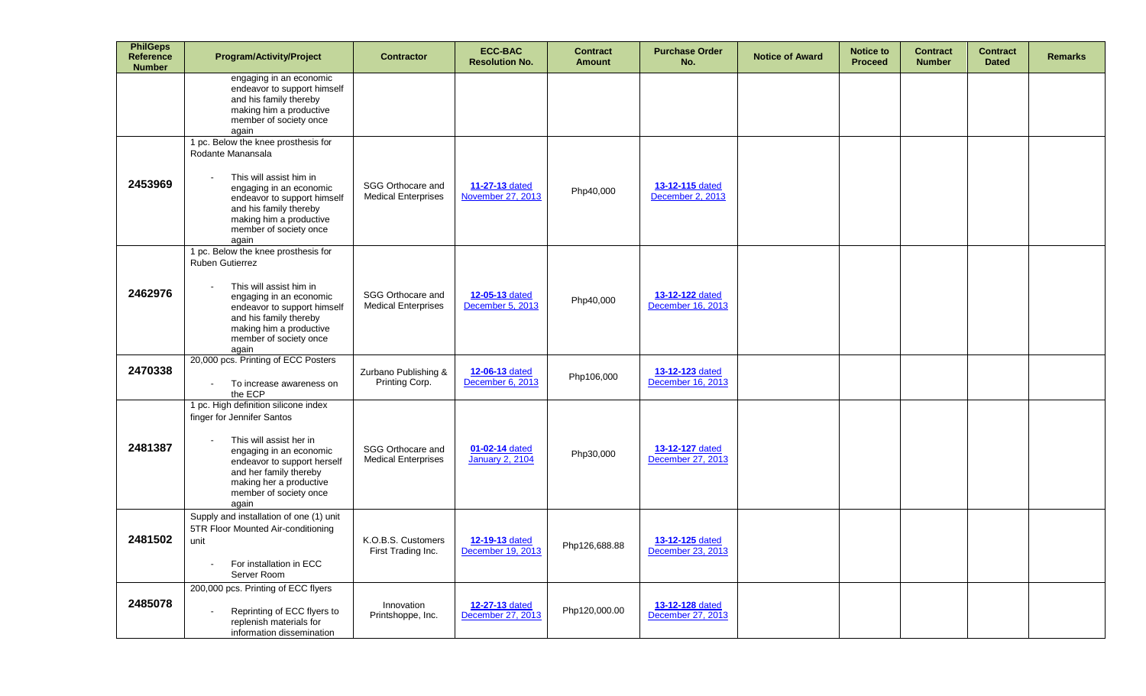| <b>PhilGeps</b><br><b>Reference</b><br><b>Number</b> | <b>Program/Activity/Project</b>                                                                                                                                                                                                                              | <b>Contractor</b>                               | <b>ECC-BAC</b><br><b>Resolution No.</b>  | <b>Contract</b><br><b>Amount</b> | <b>Purchase Order</b><br>No.         | <b>Notice of Award</b> | <b>Notice to</b><br><b>Proceed</b> | <b>Contract</b><br><b>Number</b> | <b>Contract</b><br><b>Dated</b> | <b>Remarks</b> |
|------------------------------------------------------|--------------------------------------------------------------------------------------------------------------------------------------------------------------------------------------------------------------------------------------------------------------|-------------------------------------------------|------------------------------------------|----------------------------------|--------------------------------------|------------------------|------------------------------------|----------------------------------|---------------------------------|----------------|
|                                                      | engaging in an economic<br>endeavor to support himself<br>and his family thereby<br>making him a productive<br>member of society once<br>again                                                                                                               |                                                 |                                          |                                  |                                      |                        |                                    |                                  |                                 |                |
| 2453969                                              | 1 pc. Below the knee prosthesis for<br>Rodante Manansala<br>This will assist him in<br>engaging in an economic<br>endeavor to support himself<br>and his family thereby<br>making him a productive<br>member of society once<br>again                        | SGG Orthocare and<br><b>Medical Enterprises</b> | 11-27-13 dated<br>November 27, 2013      | Php40,000                        | 13-12-115 dated<br>December 2, 2013  |                        |                                    |                                  |                                 |                |
| 2462976                                              | 1 pc. Below the knee prosthesis for<br><b>Ruben Gutierrez</b><br>This will assist him in<br>$\blacksquare$<br>engaging in an economic<br>endeavor to support himself<br>and his family thereby<br>making him a productive<br>member of society once<br>again | SGG Orthocare and<br><b>Medical Enterprises</b> | 12-05-13 dated<br>December 5, 2013       | Php40,000                        | 13-12-122 dated<br>December 16, 2013 |                        |                                    |                                  |                                 |                |
| 2470338                                              | 20,000 pcs. Printing of ECC Posters<br>To increase awareness on<br>the ECP                                                                                                                                                                                   | Zurbano Publishing &<br>Printing Corp.          | 12-06-13 dated<br>December 6, 2013       | Php106,000                       | 13-12-123 dated<br>December 16, 2013 |                        |                                    |                                  |                                 |                |
| 2481387                                              | 1 pc. High definition silicone index<br>finger for Jennifer Santos<br>This will assist her in<br>engaging in an economic<br>endeavor to support herself<br>and her family thereby<br>making her a productive<br>member of society once<br>again              | SGG Orthocare and<br><b>Medical Enterprises</b> | 01-02-14 dated<br><b>January 2, 2104</b> | Php30,000                        | 13-12-127 dated<br>December 27, 2013 |                        |                                    |                                  |                                 |                |
| 2481502                                              | Supply and installation of one (1) unit<br>5TR Floor Mounted Air-conditioning<br>unit<br>For installation in ECC<br>Server Room                                                                                                                              | K.O.B.S. Customers<br>First Trading Inc.        | 12-19-13 dated<br>December 19, 2013      | Php126,688.88                    | 13-12-125 dated<br>December 23, 2013 |                        |                                    |                                  |                                 |                |
| 2485078                                              | 200,000 pcs. Printing of ECC flyers<br>Reprinting of ECC flyers to<br>replenish materials for<br>information dissemination                                                                                                                                   | Innovation<br>Printshoppe, Inc.                 | 12-27-13 dated<br>December 27, 2013      | Php120,000.00                    | 13-12-128 dated<br>December 27, 2013 |                        |                                    |                                  |                                 |                |